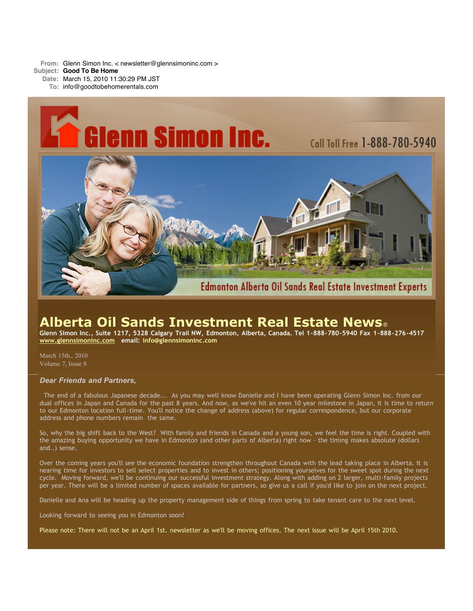**From:** Glenn Simon Inc. < newsletter@glennsimoninc.com > **Subject: Good To Be Home Date:** March 15, 2010 11:30:29 PM JST **To:** info@goodtobehomerentals.com



# **Alberta Oil Sands Investment Real Estate News**®

Glenn Simon Inc., Suite 1217, 5328 Calgary Trail NW, Edmonton, Alberta, Canada. Tel 1-888-780-5940 Fax 1-888-276-4517 **www.glennsimoninc.com email: info@glennsimoninc.com**

March 15th., 2010 Volume 7, Issue 8

## *Dear Friends and Partners,*

The end of a fabulous Japanese decade... As you may well know Danielle and I have been operating Glenn Simon Inc. from our dual offices in Japan and Canada for the past 8 years. And now, as we've hit an even 10 year milestone in Japan, it is time to return to our Edmonton location full-time. You'll notice the change of address (above) for regular correspondence, but our corporate address and phone numbers remain the same.

So, why the big shift back to the West? With family and friends in Canada and a young son, we feel the time is right. Coupled with the amazing buying opportunity we have in Edmonton (and other parts of Alberta) right now - the timing makes absolute (dollars and..) sense.

Over the coming years you'll see the economic foundation strengthen throughout Canada with the lead taking place in Alberta. It is nearing time for investors to sell select properties and to invest in others; positioning yourselves for the sweet spot during the next cycle. Moving forward, we'll be continuing our successful investment strategy. Along with adding on 2 larger, multi-family projects per year. There will be a limited number of spaces available for partners, so give us a call if you'd like to join on the next project.

Danielle and Ana will be heading up the property management side of things from spring to take tenant care to the next level.

Looking forward to seeing you in Edmonton soon!

Please note: There will not be an April 1st. newsletter as we'll be moving offices. The next issue will be April 15th 2010.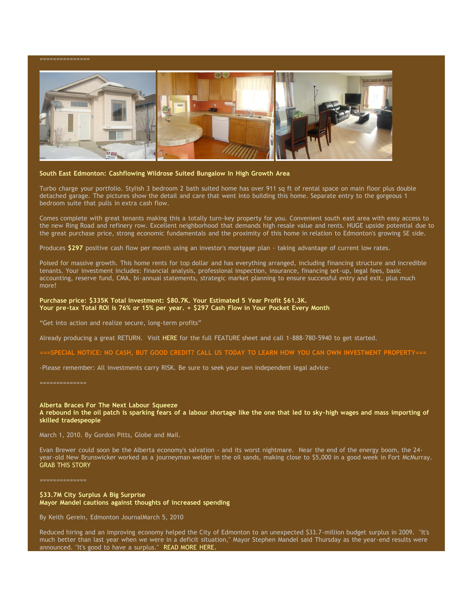

## **South East Edmonton: Cashflowing Wildrose Suited Bungalow In High Growth Area**

Turbo charge your portfolio. Stylish 3 bedroom 2 bath suited home has over 911 sq ft of rental space on main floor plus double detached garage. The pictures show the detail and care that went into building this home. Separate entry to the gorgeous 1 bedroom suite that pulls in extra cash flow.

Comes complete with great tenants making this a totally turn-key property for you. Convenient south east area with easy access to the new Ring Road and refinery row. Excellent neighborhood that demands high resale value and rents. HUGE upside potential due to the great purchase price, strong economic fundamentals and the proximity of this home in relation to Edmonton's growing SE side.

Produces **\$297** positive cash flow per month using an investor's mortgage plan - taking advantage of current low rates.

Poised for massive growth. This home rents for top dollar and has everything arranged, including financing structure and incredible tenants. Your investment includes: financial analysis, professional inspection, insurance, financing set-up, legal fees, basic accounting, reserve fund, CMA, bi-annual statements, strategic market planning to ensure successful entry and exit, plus much more!

## **Purchase price: \$335K Total Investment: \$80.7K. Your Estimated 5 Year Profit \$61.3K. Your pre-tax Total ROI is 76% or 15% per year. + \$297 Cash Flow in Your Pocket Every Month**

"Get into action and realize secure, long-term profits"

Already producing a great RETURN. Visit HERE for the full FEATURE sheet and call 1-888-780-5940 to get started.

===SPECIAL NOTICE: NO CASH, BUT GOOD CREDIT? CALL US TODAY TO LEARN HOW YOU CAN OWN INVESTMENT PROPERTY===

-Please remember: All investments carry RISK. Be sure to seek your own independent legal advice-

==============

==============

### **Alberta Braces For The Next Labour Squeeze**

A rebound in the oil patch is sparking fears of a labour shortage like the one that led to sky-high wages and mass importing of **skilled tradespeople**

March 1, 2010. By Gordon Pitts, Globe and Mail.

Evan Brewer could soon be the Alberta economy's salvation - and its worst nightmare. Near the end of the energy boom, the 24 year-old New Brunswicker worked as a journeyman welder in the oil sands, making close to \$5,000 in a good week in Fort McMurray. GRAB THIS STORY

## **\$33.7M City Surplus A Big Surprise Mayor Mandel cautions against thoughts of increased spending**

By Keith Gerein, Edmonton JournalMarch 5, 2010

Reduced hiring and an improving economy helped the City of Edmonton to an unexpected \$33.7-million budget surplus in 2009. "It's much better than last year when we were in a deficit situation," Mayor Stephen Mandel said Thursday as the year-end results were announced. "It's good to have a surplus." READ MORE HERE.